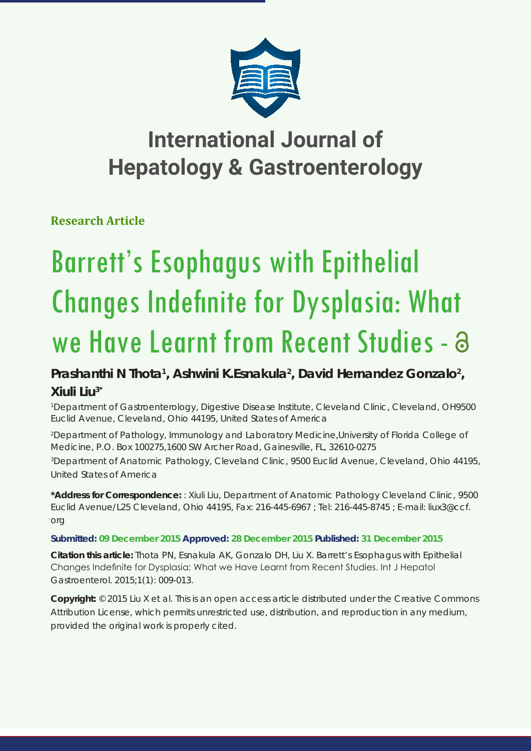

# **International Journal of Hepatology & Gastroenterology**

**Research Article**

# Barrett's Esophagus with Epithelial Changes Indefinite for Dysplasia: What we Have Learnt from Recent Studies - a

## Prashanthi N Thota<sup>1</sup>, Ashwini K.Esnakula<sup>2</sup>, David Hernandez Gonzalo<sup>2</sup>, **Xiuli Liu3\***

*1 Department of Gastroenterology, Digestive Disease Institute, Cleveland Clinic, Cleveland, OH9500 Euclid Avenue, Cleveland, Ohio 44195, United States of America*

*2 Department of Pathology, Immunology and Laboratory Medicine,University of Florida College of Medicine, P.O. Box 100275,1600 SW Archer Road, Gainesville, FL, 32610-0275*

*3 Department of Anatomic Pathology, Cleveland Clinic, 9500 Euclid Avenue, Cleveland, Ohio 44195, United States of America*

**\*Address for Correspondence:** : Xiuli Liu, Department of Anatomic Pathology Cleveland Clinic, 9500 Euclid Avenue/L25 Cleveland, Ohio 44195, Fax: 216-445-6967 ; Tel: 216-445-8745 ; E-mail: liux3@ccf. org

### **Submitted: 09 December 2015 Approved: 28 December 2015 Published: 31 December 2015**

**Citation this article:** Thota PN, Esnakula AK, Gonzalo DH, Liu X. Barrett's Esophagus with Epithelial Changes Indefinite for Dysplasia: What we Have Learnt from Recent Studies. Int J Hepatol Gastroenterol. 2015;1(1): 009-013.

**Copyright:** © 2015 Liu X et al. This is an open access article distributed under the Creative Commons Attribution License, which permits unrestricted use, distribution, and reproduction in any medium, provided the original work is properly cited.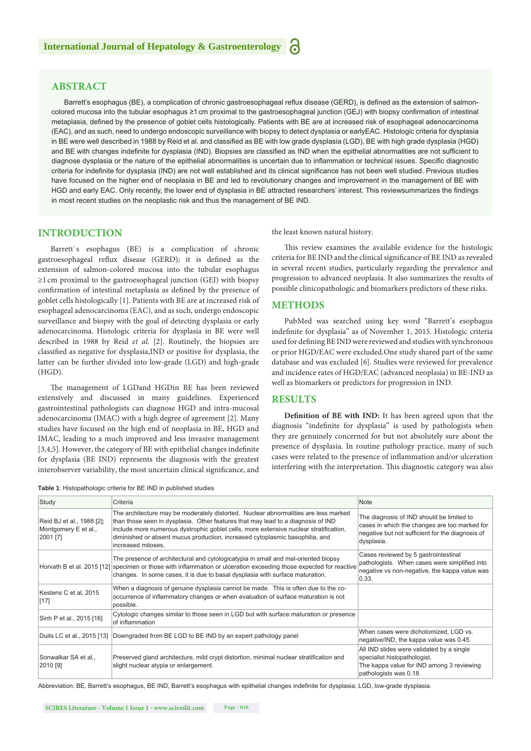#### **ABSTRACT**

Barrett's esophagus (BE), a complication of chronic gastroesophageal reflux disease (GERD), is defined as the extension of salmoncolored mucosa into the tubular esophagus ≥1cm proximal to the gastroesophageal junction (GEJ) with biopsy confirmation of intestinal metaplasia, defined by the presence of goblet cells histologically. Patients with BE are at increased risk of esophageal adenocarcinoma (EAC), and as such, need to undergo endoscopic surveillance with biopsy to detect dysplasia or earlyEAC. Histologic criteria for dysplasia in BE were well described in 1988 by Reid et al. and classified as BE with low grade dysplasia (LGD), BE with high grade dysplasia (HGD) and BE with changes indefinite for dysplasia (IND). Biopsies are classified as IND when the epithelial abnormalities are not sufficient to diagnose dysplasia or the nature of the epithelial abnormalities is uncertain due to inflammation or technical issues. Specific diagnostic criteria for indefinite for dysplasia (IND) are not well established and its clinical significance has not been well studied. Previous studies have focused on the higher end of neoplasia in BE and led to revolutionary changes and improvement in the management of BE with HGD and early EAC. Only recently, the lower end of dysplasia in BE attracted researchers' interest. This reviewsummarizes the findings in most recent studies on the neoplastic risk and thus the management of BE IND.

#### **INTRODUCTION**

Barrett`s esophagus (BE) is a complication of chronic gastroesophageal reflux disease (GERD); it is defined as the extension of salmon-colored mucosa into the tubular esophagus  $\geq$ 1 cm proximal to the gastroesophageal junction (GEJ) with biopsy confirmation of intestinal metaplasia as defined by the presence of goblet cells histologically [1]. Patients with BE are at increased risk of esophageal adenocarcinoma (EAC), and as such, undergo endoscopic surveillance and biopsy with the goal of detecting dysplasia or early adenocarcinoma. Histologic criteria for dysplasia in BE were well described in 1988 by Reid *et al.* [2]. Routinely, the biopsies are classified as negative for dysplasia,IND or positive for dysplasia, the latter can be further divided into low-grade (LGD) and high-grade (HGD).

The management of LGDand HGDin BE has been reviewed extensively and discussed in many guidelines. Experienced gastrointestinal pathologists can diagnose HGD and intra-mucosal adenocarcinoma (IMAC) with a high degree of agreement [2]. Many studies have focused on the high end of neoplasia in BE, HGD and IMAC, leading to a much improved and less invasive management [3,4,5]. However, the category of BE with epithelial changes indefinite for dysplasia (BE IND) represents the diagnosis with the greatest interobserver variability, the most uncertain clinical significance, and

**Table 1**: Histopathologic criteria for BE IND in published studies

the least known natural history.

This review examines the available evidence for the histologic criteria for BE IND and the clinical significance of BE IND as revealed in several recent studies, particularly regarding the prevalence and progression to advanced neoplasia. It also summarizes the results of possible clinicopathologic and biomarkers predictors of these risks.

#### **METHODS**

PubMed was searched using key word "Barrett's esophagus indefinite for dysplasia" as of November 1, 2015. Histologic criteria used for defining BE IND were reviewed and studies with synchronous or prior HGD/EAC were excluded.One study shared part of the same database and was excluded [6]. Studies were reviewed for prevalence and incidence rates of HGD/EAC (advanced neoplasia) in BE-IND as well as biomarkers or predictors for progression in IND.

#### **RESULTS**

**Definition of BE with IND:** It has been agreed upon that the diagnosis "indefinite for dysplasia" is used by pathologists when they are genuinely concerned for but not absolutely sure about the presence of dysplasia. In routine pathology practice, many of such cases were related to the presence of inflammation and/or ulceration interfering with the interpretation. This diagnostic category was also

| Study                                                         | Criteria                                                                                                                                                                                                                                                                                                                                                               | Note                                                                                                                                                         |
|---------------------------------------------------------------|------------------------------------------------------------------------------------------------------------------------------------------------------------------------------------------------------------------------------------------------------------------------------------------------------------------------------------------------------------------------|--------------------------------------------------------------------------------------------------------------------------------------------------------------|
| Reid BJ et al., 1988 [2];<br>Montgomery E et al.,<br>2001 [7] | The architecture may be moderately distorted. Nuclear abnormalities are less marked<br>than those seen in dysplasia. Other features that may lead to a diagnosis of IND<br>include more numerous dystrophic goblet cells, more extensive nuclear stratification,<br>diminished or absent mucus production, increased cytoplasmic basophilia, and<br>increased mitoses. | The diagnosis of IND should be limited to<br>cases in which the changes are too marked for<br>negative but not sufficient for the diagnosis of<br>dysplasia. |
|                                                               | The presence of architectural and cytologicatypia in small and mal-oriented biopsy<br>Horvath B et al. 2015 [12] specimen or those with inflammation or ulceration exceeding those expected for reactive<br>changes. In some cases, it is due to basal dysplasia with surface maturation.                                                                              | Cases reviewed by 5 gastrointestinal<br>pathologists. When cases were simplified into<br>negative vs non-negative, the kappa value was<br>0.33.              |
| Kestens C et al, 2015<br>$[17]$                               | When a diagnosis of genuine dysplasia cannot be made. This is often due to the co-<br>occurrence of inflammatory changes or when evaluation of surface maturation is not<br>possible.                                                                                                                                                                                  |                                                                                                                                                              |
| Sinh P et al., 2015 [16]                                      | Cytologic changes similar to those seen in LGD but with surface maturation or presence<br>of inflammation                                                                                                                                                                                                                                                              |                                                                                                                                                              |
|                                                               | Duits LC et al., 2015 [13] Downgraded from BE LGD to BE IND by an expert pathology panel                                                                                                                                                                                                                                                                               | When cases were dichotomized, LGD vs.<br>negative/IND, the kappa value was 0.45.                                                                             |
| Sonwalkar SA et al<br>2010 [9]                                | Preserved gland architecture, mild crypt distortion, minimal nuclear stratification and<br>slight nuclear atypia or enlargement.                                                                                                                                                                                                                                       | All IND slides were validated by a single<br>specialist histopathologist.<br>The kappa value for IND among 3 reviewing<br>pathologists was 0.18.             |

Abbreviation: BE, Barrett's esophagus, BE IND, Barrett's esophagus with epithelial changes indefinite for dysplasia; LGD, low-grade dysplasia.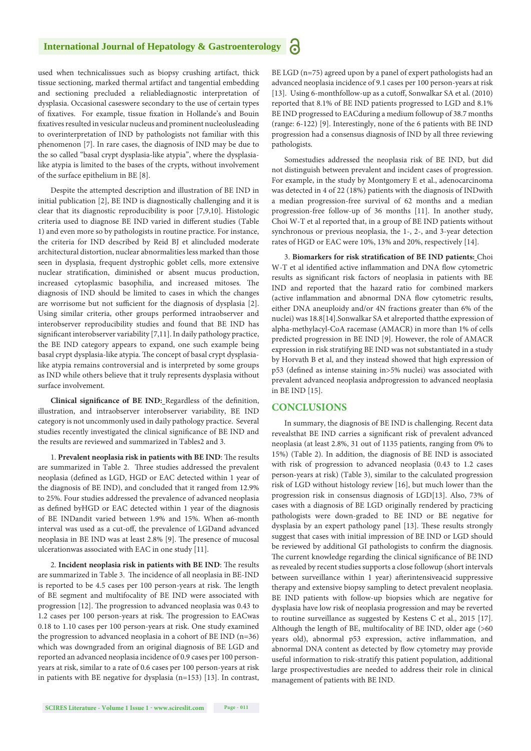used when technicalissues such as biopsy crushing artifact, thick tissue sectioning, marked thermal artifact and tangential embedding and sectioning precluded a reliablediagnostic interpretation of dysplasia. Occasional caseswere secondary to the use of certain types of fixatives. For example, tissue fixation in Hollande's and Bouin fixatives resulted in vesicular nucleus and prominent nucleolusleading to overinterpretation of IND by pathologists not familiar with this phenomenon [7]. In rare cases, the diagnosis of IND may be due to the so called "basal crypt dysplasia-like atypia", where the dysplasialike atypia is limited to the bases of the crypts, without involvement of the surface epithelium in BE [8].

Despite the attempted description and illustration of BE IND in initial publication [2], BE IND is diagnostically challenging and it is clear that its diagnostic reproducibility is poor [7,9,10]. Histologic criteria used to diagnose BE IND varied in different studies (Table 1) and even more so by pathologists in routine practice. For instance, the criteria for IND described by Reid BJ et alincluded moderate architectural distortion, nuclear abnormalities less marked than those seen in dysplasia, frequent dystrophic goblet cells, more extensive nuclear stratification, diminished or absent mucus production, increased cytoplasmic basophilia, and increased mitoses. The diagnosis of IND should be limited to cases in which the changes are worrisome but not sufficient for the diagnosis of dysplasia [2]. Using similar criteria, other groups performed intraobserver and interobserver reproducibility studies and found that BE IND has significant interobserver variability [7,11]. In daily pathology practice, the BE IND category appears to expand, one such example being basal crypt dysplasia-like atypia. The concept of basal crypt dysplasialike atypia remains controversial and is interpreted by some groups as IND while others believe that it truly represents dysplasia without surface involvement.

Clinical significance of BE IND: Regardless of the definition, illustration, and intraobserver interobserver variability, BE IND category is not uncommonly used in daily pathology practice. Several studies recently investigated the clinical significance of BE IND and the results are reviewed and summarized in Tables2 and 3.

1. **Prevalent neoplasia risk in patients with BE IND**: The results are summarized in Table 2. Three studies addressed the prevalent neoplasia (defined as LGD, HGD or EAC detected within 1 year of the diagnosis of BE IND), and concluded that it ranged from 12.9% to 25%. Four studies addressed the prevalence of advanced neoplasia as defined byHGD or EAC detected within 1 year of the diagnosis of BE INDandit varied between 1.9% and 15%. When a6-month interval was used as a cut-off, the prevalence of LGDand advanced neoplasia in BE IND was at least 2.8% [9]. The presence of mucosal ulcerationwas associated with EAC in one study [11].

2. **Incident neoplasia risk in patients with BE IND**: The results are summarized in Table 3. The incidence of all neoplasia in BE-IND is reported to be 4.5 cases per 100 person-years at risk. The length of BE segment and multifocality of BE IND were associated with progression [12]. The progression to advanced neoplasia was 0.43 to 1.2 cases per 100 person-years at risk. The progression to EACwas 0.18 to 1.10 cases per 100 person-years at risk. One study examined the progression to advanced neoplasia in a cohort of BE IND (n=36) which was downgraded from an original diagnosis of BE LGD and reported an advanced neoplasia incidence of 0.9 cases per 100 personyears at risk, similar to a rate of 0.6 cases per 100 person-years at risk in patients with BE negative for dysplasia (n=153) [13]. In contrast,

BE LGD (n=75) agreed upon by a panel of expert pathologists had an advanced neoplasia incidence of 9.1 cases per 100 person-years at risk [13]. Using 6-monthfollow-up as a cutoff, Sonwalkar SA et al. (2010) reported that 8.1% of BE IND patients progressed to LGD and 8.1% BE IND progressed to EACduring a medium followup of 38.7 months (range: 6-122) [9]. Interestingly, none of the 6 patients with BE IND progression had a consensus diagnosis of IND by all three reviewing pathologists.

Somestudies addressed the neoplasia risk of BE IND, but did not distinguish between prevalent and incident cases of progression. For example, in the study by Montgomery E et al., adenocarcinoma was detected in 4 of 22 (18%) patients with the diagnosis of INDwith a median progression-free survival of 62 months and a median progression-free follow-up of 36 months [11]. In another study, Choi W-T et al reported that, in a group of BE IND patients without synchronous or previous neoplasia, the 1-, 2-, and 3-year detection rates of HGD or EAC were 10%, 13% and 20%, respectively [14].

3. **Biomarkers for risk stratification of BE IND patients:** Choi W-T et al identified active inflammation and DNA flow cytometric results as significant risk factors of neoplasia in patients with BE IND and reported that the hazard ratio for combined markers (active inflammation and abnormal DNA flow cytometric results, either DNA aneuploidy and/or 4N fractions greater than 6% of the nuclei) was 18.8[14].Sonwalkar SA et alreported thatthe expression of alpha-methylacyl-CoA racemase (AMACR) in more than 1% of cells predicted progression in BE IND [9]. However, the role of AMACR expression in risk stratifying BE IND was not substantiated in a study by Horvath B et al, and they instead showed that high expression of p53 (defined as intense staining in>5% nuclei) was associated with prevalent advanced neoplasia andprogression to advanced neoplasia in BE IND [15].

#### **CONCLUSIONS**

In summary, the diagnosis of BE IND is challenging. Recent data revealsthat BE IND carries a significant risk of prevalent advanced neoplasia (at least 2.8%, 31 out of 1135 patients, ranging from 0% to 15%) (Table 2). In addition, the diagnosis of BE IND is associated with risk of progression to advanced neoplasia (0.43 to 1.2 cases person-years at risk) (Table 3), similar to the calculated progression risk of LGD without histology review [16], but much lower than the progression risk in consensus diagnosis of LGD[13]. Also, 73% of cases with a diagnosis of BE LGD originally rendered by practicing pathologists were down-graded to BE IND or BE negative for dysplasia by an expert pathology panel [13]. These results strongly suggest that cases with initial impression of BE IND or LGD should be reviewed by additional GI pathologists to confirm the diagnosis. The current knowledge regarding the clinical significance of BE IND as revealed by recent studies supports a close followup (short intervals between surveillance within 1 year) afterintensiveacid suppressive therapy and extensive biopsy sampling to detect prevalent neoplasia. BE IND patients with follow-up biopsies which are negative for dysplasia have low risk of neoplasia progression and may be reverted to routine surveillance as suggested by Kestens C et al., 2015 [17]. Although the length of BE, multifocality of BE IND, older age (>60 years old), abnormal p53 expression, active inflammation, and abnormal DNA content as detected by flow cytometry may provide useful information to risk-stratify this patient population, additional large prospectivestudies are needed to address their role in clinical management of patients with BE IND.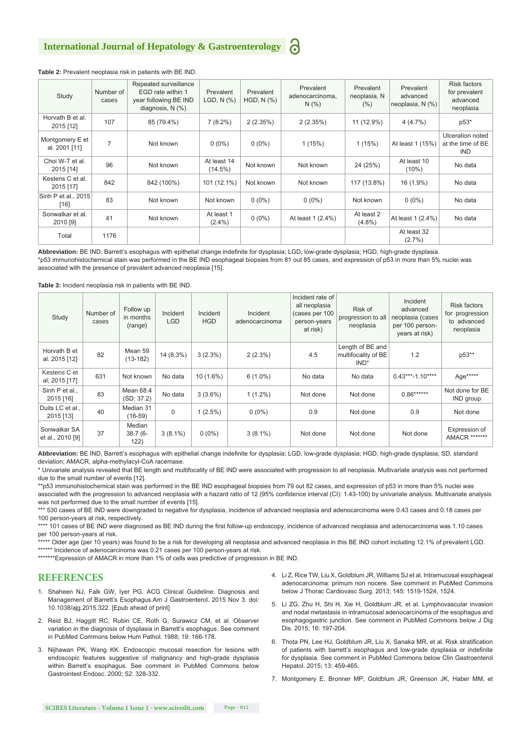#### **Table 2:** Prevalent neoplasia risk in patients with BE IND.

| Study                            | Number of<br>cases | Repeated surveillance<br>EGD rate within 1<br>year following BE IND<br>diagnosis, $N$ $(\%)$ | Prevalent<br>LGD, N (%)   | Prevalent<br>$HGD, N$ $(\%)$ | Prevalent<br>adenocarcinoma,<br>N(% ) | Prevalent<br>neoplasia, N<br>(% ) | Prevalent<br>advanced<br>neoplasia, N (%) | Risk factors<br>for prevalent<br>advanced<br>neoplasia |
|----------------------------------|--------------------|----------------------------------------------------------------------------------------------|---------------------------|------------------------------|---------------------------------------|-----------------------------------|-------------------------------------------|--------------------------------------------------------|
| Horvath B et al.<br>2015 [12]    | 107                | 85 (79.4%)                                                                                   | $7(8.2\%)$                | 2(2.35%)                     | 2(2.35%)                              | 11 (12.9%)                        | 4(4.7%)                                   | p53*                                                   |
| Montgomery E et<br>al. 2001 [11] | 7                  | Not known                                                                                    | $0(0\%)$                  | $0(0\%)$                     | 1(15%)                                | 1(15%)                            | At least 1 (15%)                          | Ulceration noted<br>at the time of BE<br><b>IND</b>    |
| Choi W-T et al.<br>2015 [14]     | 96                 | Not known                                                                                    | At least 14<br>$(14.5\%)$ | Not known                    | Not known                             | 24 (25%)                          | At least 10<br>$(10\%)$                   | No data                                                |
| Kestens C et al.<br>2015 [17]    | 842                | 842 (100%)                                                                                   | 101 (12.1%)               | Not known                    | Not known                             | 117 (13.8%)                       | 16 (1.9%)                                 | No data                                                |
| Sinh P et al., 2015<br>$[16]$    | 83                 | Not known                                                                                    | Not known                 | $0(0\%)$                     | $0(0\%)$                              | Not known                         | $0(0\%)$                                  | No data                                                |
| Sonwalkar et al.<br>2010 [9]     | 41                 | Not known                                                                                    | At least 1<br>$(2.4\%)$   | $0(0\%)$                     | At least 1 (2.4%)                     | At least 2<br>$(4.8\%)$           | At least 1 (2.4%)                         | No data                                                |
| Total                            | 1176               |                                                                                              |                           |                              |                                       |                                   | At least 32<br>$(2.7\%)$                  |                                                        |

**Abbreviation:** BE IND, Barrett's esophagus with epithelial change indefinite for dysplasia; LGD, low-grade dysplasia; HGD, high-grade dysplasia. \*p53 immunohistochemical stain was performed in the BE IND esophageal biopsies from 81 out 85 cases, and expression of p53 in more than 5% nuclei was associated with the presence of prevalent advanced neoplasia [15].

**Table 3:** Incident neoplasia risk in patients with BE IND.

| Study                            | Number of<br>cases | Follow up<br>in months<br>(range) | Incident<br><b>LGD</b> | Incident<br><b>HGD</b> | Incident<br>adenocarcinoma | Incident rate of<br>all neoplasia<br>(cases per 100<br>person-years<br>at risk) | Risk of<br>progression to all<br>neoplasia         | Incident<br>advanced<br>neoplasia (cases<br>per 100 person-<br>years at risk) | Risk factors<br>for progression<br>to advanced<br>neoplasia |
|----------------------------------|--------------------|-----------------------------------|------------------------|------------------------|----------------------------|---------------------------------------------------------------------------------|----------------------------------------------------|-------------------------------------------------------------------------------|-------------------------------------------------------------|
| Horvath B et<br>al. 2015 [12]    | 82                 | Mean 59<br>$(13-182)$             | 14 (8.3%)              | $3(2.3\%)$             | $2(2.3\%)$                 | 4.5                                                                             | Length of BE and<br>multifocality of BE<br>$IND^*$ | 1.2                                                                           | p53**                                                       |
| Kestens C et<br>al, 2015 [17]    | 631                | Not known                         | No data                | $10(1.6\%)$            | $6(1.0\%)$                 | No data                                                                         | No data                                            | $0.43***-1.10***$                                                             | Age*****                                                    |
| Sinh P et al.,<br>2015 [16]      | 83                 | Mean 68.4<br>(SD: 37.2)           | No data                | $3(3.6\%)$             | $1(1.2\%)$                 | Not done                                                                        | Not done                                           | $0.86******$                                                                  | Not done for BE<br>IND group                                |
| Duits LC et al<br>2015 [13]      | 40                 | Median 31<br>$(16-59)$            | $\mathbf 0$            | 1(2.5%)                | $0(0\%)$                   | 0.9                                                                             | Not done                                           | 0.9                                                                           | Not done                                                    |
| Sonwalkar SA<br>et al., 2010 [9] | 37                 | Median<br>$38.7(6 -$<br>122)      | $3(8.1\%)$             | $0(0\%)$               | $3(8.1\%)$                 | Not done                                                                        | Not done                                           | Not done                                                                      | Expression of<br>AMACR *******                              |

**Abbreviation:** BE IND, Barrett's esophagus with epithelial change indefinite for dysplasia; LGD, low-grade dysplasia; HGD, high-grade dysplasia; SD, standard deviation; AMACR, alpha-methylacyl-CoA racemase.

\* Univariate analysis revealed that BE length and multifocality of BE IND were associated with progression to all neoplasia. Multivariate analysis was not performed due to the small number of events [12].

\*\*p53 immunohistochemical stain was performed in the BE IND esophageal biopsies from 79 out 82 cases, and expression of p53 in more than 5% nuclei was associated with the progression to advanced neoplasia with a hazard ratio of 12 (95% confidence interval (CI): 1.43-100) by univariate analysis. Multivariate analysis was not performed due to the small number of events [15].

\*\*\* 530 cases of BE IND were downgraded to negative for dysplasia, incidence of advanced neoplasia and adenocarcinoma were 0.43 cases and 0.18 cases per 100 person-years at risk, respectively.

\*\*\*\* 101 cases of BE IND were diagnosed as BE IND during the first follow-up endoscopy, incidence of advanced neoplasia and adenocarcinoma was 1.10 cases per 100 person-years at risk.

\*\*\*\* Older age (per 10 years) was found to be a risk for developing all neoplasia and advanced neoplasia in this BE IND cohort including 12.1% of prevalent LGD. \*\*\*\*\*\* Incidence of adenocarcinoma was 0.21 cases per 100 person-years at risk

\*\*\*\*\*\*\*Expression of AMACR in more than 1% of cells was predictive of progression in BE IND.

#### **REFERENCES**

- 1. Shaheen NJ, Falk GW, Iyer PG. ACG Clinical Guideline: Diagnosis and Management of Barrett's Esophagus.Am J Gastroenterol. 2015 Nov 3. doi: 10.1038/ajg.2015.322. [Epub ahead of print]
- 2. [Reid BJ, Haggitt RC, Rubin CE, Roth G, Surawicz CM, et al. Observer](http://www.ncbi.nlm.nih.gov/pubmed/3343032)  [variation in the diagnosis of dysplasia in Barrett's esophagus. See comment](http://www.ncbi.nlm.nih.gov/pubmed/3343032)  [in PubMed Commons below Hum Pathol. 1988; 19: 166-178.](http://www.ncbi.nlm.nih.gov/pubmed/3343032)
- 3. [Nijhawan PK, Wang KK. Endoscopic mucosal resection for lesions with](http://www.ncbi.nlm.nih.gov/pubmed/10968845)  [endoscopic features suggestive of malignancy and high-grade dysplasia](http://www.ncbi.nlm.nih.gov/pubmed/10968845)  [within Barrett's esophagus. See comment in PubMed Commons below](http://www.ncbi.nlm.nih.gov/pubmed/10968845)  [Gastrointest Endosc. 2000; 52: 328-332.](http://www.ncbi.nlm.nih.gov/pubmed/10968845)
- 4. Li Z, Rice TW, Liu X, Goldblum JR, Williams SJ et al. Intramucosal esophageal adenocarcinoma: primum non nocere. See comment in PubMed Commons below J Thorac Cardiovasc Surg. 2013; 145: 1519-1524, 1524.
- 5. [Li ZG, Zhu H, Shi H, Xie H, Goldblum JR, et al. Lymphovascular invasion](http://www.ncbi.nlm.nih.gov/pubmed/25620066)  [and nodal metastasis in intramucosal adenocarcinoma of the esophagus and](http://www.ncbi.nlm.nih.gov/pubmed/25620066)  [esophagogastric junction. See comment in PubMed Commons below J Dig](http://www.ncbi.nlm.nih.gov/pubmed/25620066)  [Dis. 2015; 16: 197-204.](http://www.ncbi.nlm.nih.gov/pubmed/25620066)
- 6. [Thota PN, Lee HJ, Goldblum JR, Liu X, Sanaka MR, et al. Risk stratification](http://www.ncbi.nlm.nih.gov/pubmed/25102445)  [of patients with barrett's esophagus and low-grade dysplasia or indefinite](http://www.ncbi.nlm.nih.gov/pubmed/25102445)  [for dysplasia. See comment in PubMed Commons below Clin Gastroenterol](http://www.ncbi.nlm.nih.gov/pubmed/25102445)  [Hepatol. 2015; 13: 459-465.](http://www.ncbi.nlm.nih.gov/pubmed/25102445)
- 7. [Montgomery E, Bronner MP, Goldblum JR, Greenson JK, Haber MM, et](http://www.ncbi.nlm.nih.gov/pubmed/11331953)